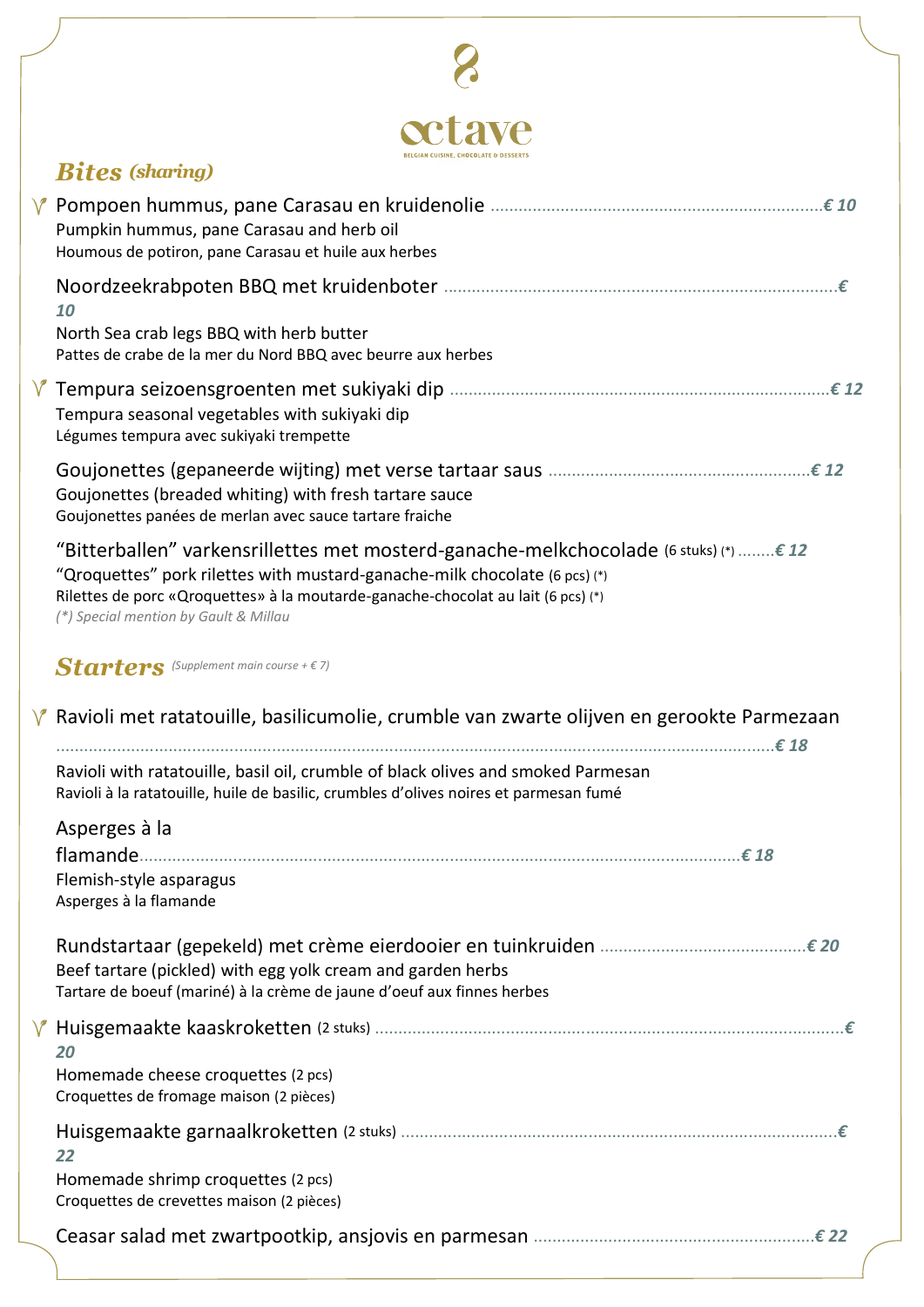

#### *Bites (sharing)*

|  | Pumpkin hummus, pane Carasau and herb oil<br>Houmous de potiron, pane Carasau et huile aux herbes                                                                                                                                                                                                        |
|--|----------------------------------------------------------------------------------------------------------------------------------------------------------------------------------------------------------------------------------------------------------------------------------------------------------|
|  | 10                                                                                                                                                                                                                                                                                                       |
|  | North Sea crab legs BBQ with herb butter<br>Pattes de crabe de la mer du Nord BBQ avec beurre aux herbes                                                                                                                                                                                                 |
|  | Tempura seasonal vegetables with sukiyaki dip<br>Légumes tempura avec sukiyaki trempette                                                                                                                                                                                                                 |
|  | Goujonettes (breaded whiting) with fresh tartare sauce<br>Goujonettes panées de merlan avec sauce tartare fraiche                                                                                                                                                                                        |
|  | "Bitterballen" varkensrillettes met mosterd-ganache-melkchocolade (6 stuks) (*) $\epsilon$ 12<br>"Oroquettes" pork rilettes with mustard-ganache-milk chocolate (6 pcs) (*)<br>Rilettes de porc «Qroquettes» à la moutarde-ganache-chocolat au lait (6 pcs) (*)<br>(*) Special mention by Gault & Millau |
|  | <b>Starters</b> (Supplement main course + $\epsilon$ 7)                                                                                                                                                                                                                                                  |
|  | Ravioli met ratatouille, basilicumolie, crumble van zwarte olijven en gerookte Parmezaan                                                                                                                                                                                                                 |
|  | Ravioli with ratatouille, basil oil, crumble of black olives and smoked Parmesan<br>Ravioli à la ratatouille, huile de basilic, crumbles d'olives noires et parmesan fumé                                                                                                                                |
|  | Asperges à la                                                                                                                                                                                                                                                                                            |
|  | Flemish-style asparagus<br>Asperges à la flamande                                                                                                                                                                                                                                                        |
|  | Beef tartare (pickled) with egg yolk cream and garden herbs<br>Tartare de boeuf (mariné) à la crème de jaune d'oeuf aux finnes herbes                                                                                                                                                                    |
|  |                                                                                                                                                                                                                                                                                                          |
|  | 20<br>Homemade cheese croquettes (2 pcs)<br>Croquettes de fromage maison (2 pièces)                                                                                                                                                                                                                      |
|  | 22                                                                                                                                                                                                                                                                                                       |
|  | Homemade shrimp croquettes (2 pcs)<br>Croquettes de crevettes maison (2 pièces)                                                                                                                                                                                                                          |
|  |                                                                                                                                                                                                                                                                                                          |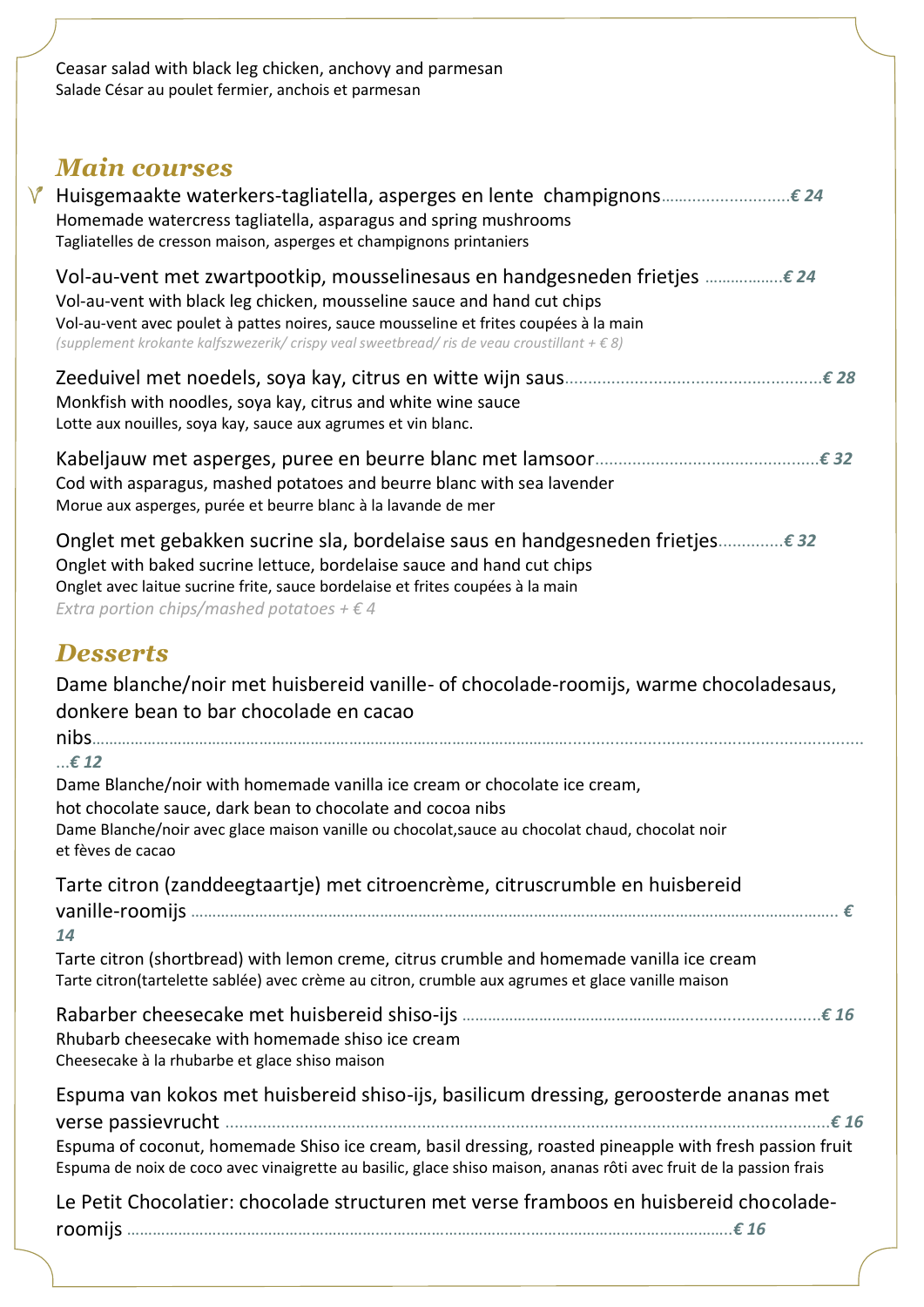|            | Ceasar salad with black leg chicken, anchovy and parmesan<br>Salade César au poulet fermier, anchois et parmesan                                                                                                                                                                                                                                     |
|------------|------------------------------------------------------------------------------------------------------------------------------------------------------------------------------------------------------------------------------------------------------------------------------------------------------------------------------------------------------|
| $\sqrt{ }$ | <b>Main courses</b><br>Homemade watercress tagliatella, asparagus and spring mushrooms<br>Tagliatelles de cresson maison, asperges et champignons printaniers                                                                                                                                                                                        |
|            | Vol-au-vent met zwartpootkip, mousselinesaus en handgesneden frietjes € 24<br>Vol-au-vent with black leg chicken, mousseline sauce and hand cut chips<br>Vol-au-vent avec poulet à pattes noires, sauce mousseline et frites coupées à la main<br>(supplement krokante kalfszwezerik/crispy veal sweetbread/ris de veau croustillant + $\epsilon$ 8) |
|            | Monkfish with noodles, soya kay, citrus and white wine sauce<br>Lotte aux nouilles, soya kay, sauce aux agrumes et vin blanc.                                                                                                                                                                                                                        |
|            | Cod with asparagus, mashed potatoes and beurre blanc with sea lavender<br>Morue aux asperges, purée et beurre blanc à la lavande de mer                                                                                                                                                                                                              |
|            | Onglet met gebakken sucrine sla, bordelaise saus en handgesneden frietjes€ 32<br>Onglet with baked sucrine lettuce, bordelaise sauce and hand cut chips<br>Onglet avec laitue sucrine frite, sauce bordelaise et frites coupées à la main<br>Extra portion chips/mashed potatoes + $\epsilon$ 4                                                      |
|            | <b>Desserts</b>                                                                                                                                                                                                                                                                                                                                      |
|            | Dame blanche/noir met huisbereid vanille- of chocolade-roomijs, warme chocoladesaus,<br>donkere bean to bar chocolade en cacao                                                                                                                                                                                                                       |
|            | $$ £12<br>Dame Blanche/noir with homemade vanilla ice cream or chocolate ice cream,<br>hot chocolate sauce, dark bean to chocolate and cocoa nibs<br>Dame Blanche/noir avec glace maison vanille ou chocolat, sauce au chocolat chaud, chocolat noir<br>et fèves de cacao                                                                            |
|            | Tarte citron (zanddeegtaartje) met citroencrème, citruscrumble en huisbereid<br>14                                                                                                                                                                                                                                                                   |
|            | Tarte citron (shortbread) with lemon creme, citrus crumble and homemade vanilla ice cream<br>Tarte citron(tartelette sablée) avec crème au citron, crumble aux agrumes et glace vanille maison                                                                                                                                                       |
|            | Rhubarb cheesecake with homemade shiso ice cream<br>Cheesecake à la rhubarbe et glace shiso maison                                                                                                                                                                                                                                                   |
|            | Espuma van kokos met huisbereid shiso-ijs, basilicum dressing, geroosterde ananas met                                                                                                                                                                                                                                                                |
|            | Espuma of coconut, homemade Shiso ice cream, basil dressing, roasted pineapple with fresh passion fruit<br>Espuma de noix de coco avec vinaigrette au basilic, glace shiso maison, ananas rôti avec fruit de la passion frais                                                                                                                        |
|            | Le Petit Chocolatier: chocolade structuren met verse framboos en huisbereid chocolade-                                                                                                                                                                                                                                                               |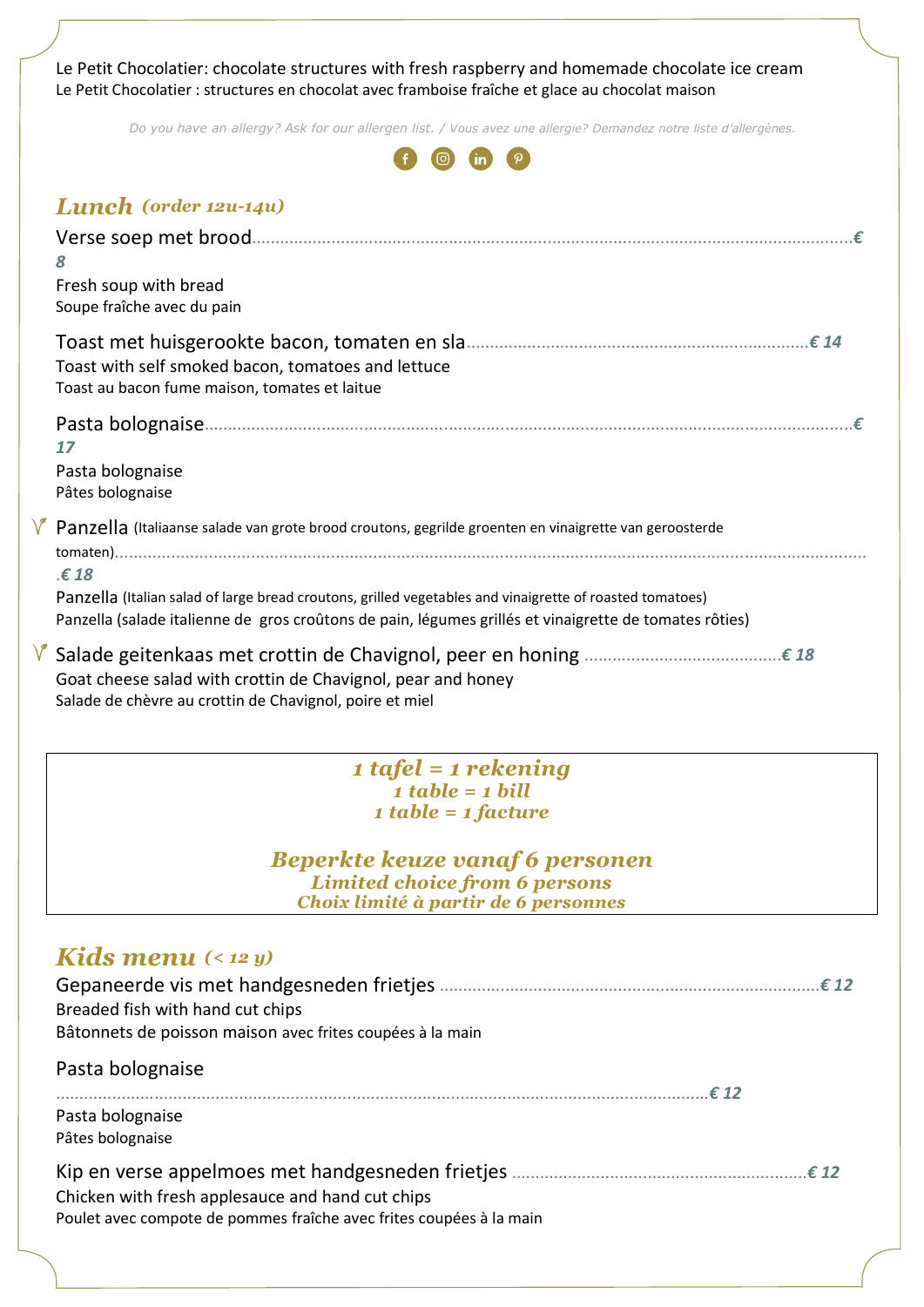Le Petit Chocolatier: chocolate structures with fresh raspberry and homemade chocolate ice cream Le Petit Chocolatier : structures en chocolat avec framboise fraîche et glace au chocolat maison

*Do you have an allergy? Ask for our allergen list. / Vous avez une allergie? Demandez notre liste d'allergènes.*



|                                               | <b>Lunch</b> (order $12u-14u$ )                                                                                                                                                                                                     |  |  |  |
|-----------------------------------------------|-------------------------------------------------------------------------------------------------------------------------------------------------------------------------------------------------------------------------------------|--|--|--|
|                                               | 8                                                                                                                                                                                                                                   |  |  |  |
|                                               | Fresh soup with bread<br>Soupe fraîche avec du pain                                                                                                                                                                                 |  |  |  |
|                                               | Toast with self smoked bacon, tomatoes and lettuce<br>Toast au bacon fume maison, tomates et laitue                                                                                                                                 |  |  |  |
|                                               | 17                                                                                                                                                                                                                                  |  |  |  |
|                                               | Pasta bolognaise<br>Pâtes bolognaise                                                                                                                                                                                                |  |  |  |
|                                               | Panzella (Italiaanse salade van grote brood croutons, gegrilde groenten en vinaigrette van geroosterde<br>$\epsilon$ 18<br>Panzella (Italian salad of large bread croutons, grilled vegetables and vinaigrette of roasted tomatoes) |  |  |  |
|                                               | Panzella (salade italienne de gros croûtons de pain, légumes grillés et vinaigrette de tomates rôties)                                                                                                                              |  |  |  |
|                                               | Goat cheese salad with crottin de Chavignol, pear and honey<br>Salade de chèvre au crottin de Chavignol, poire et miel                                                                                                              |  |  |  |
|                                               | 1 tafel = $1$ rekening                                                                                                                                                                                                              |  |  |  |
| $1 table = 1 bill$<br>$1$ table = $1$ facture |                                                                                                                                                                                                                                     |  |  |  |
|                                               |                                                                                                                                                                                                                                     |  |  |  |

*Beperkte keuze vanaf 6 personen Limited choice from 6 persons Choix limité à partir de 6 personnes*

#### *Kids menu (< 12 y)* Gepaneerde vis met handgesneden frietjes .................................................................................*€ 12* Breaded fish with hand cut chips Bâtonnets de poisson maison avec frites coupées à la main Pasta bolognaise ...........................................................................................................................................*€ 12* Pasta bolognaise Pâtes bolognaise Kip en verse appelmoes met handgesneden frietjes ...............................................................*€ 12* Chicken with fresh applesauce and hand cut chips Poulet avec compote de pommes fraîche avec frites coupées à la main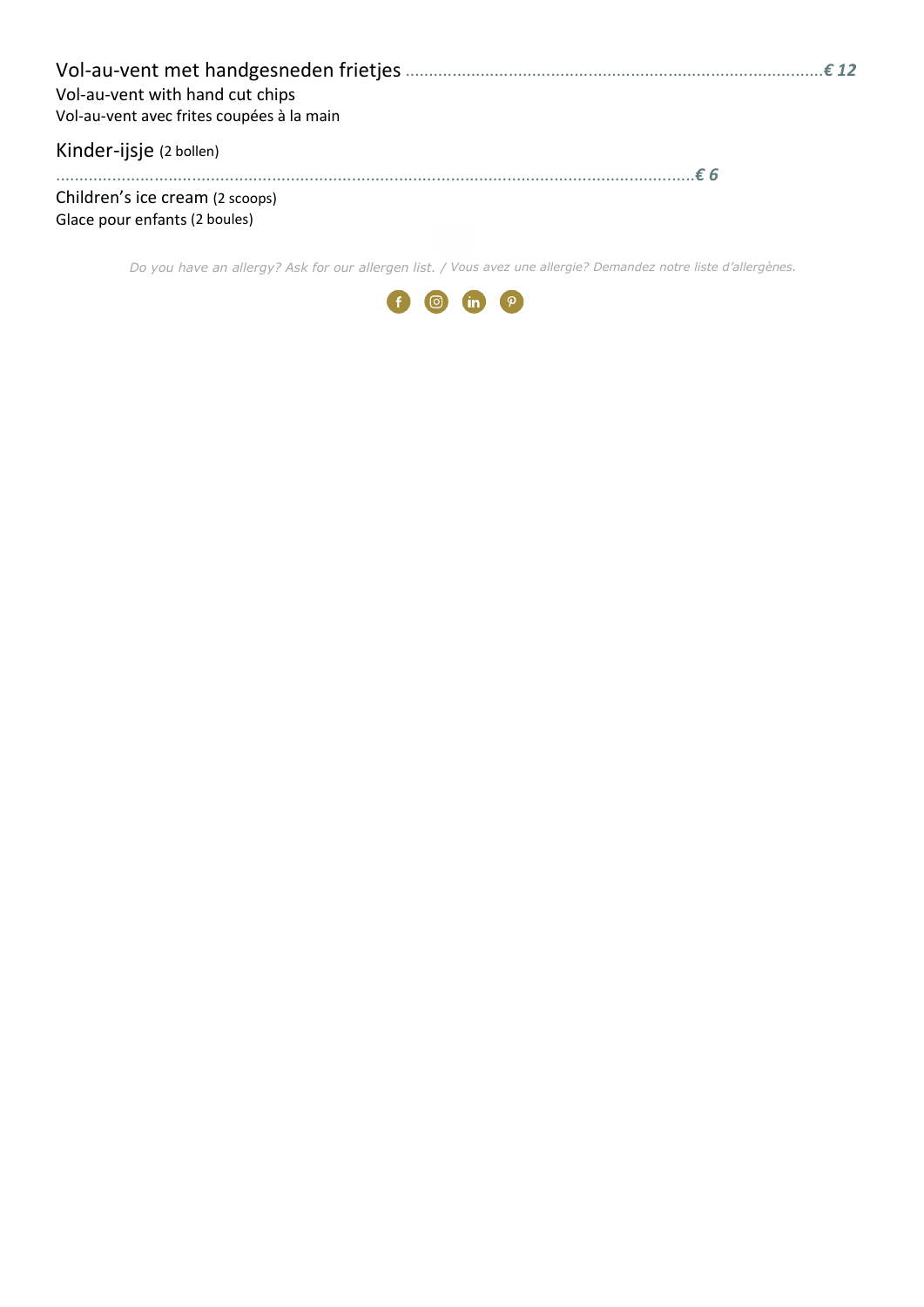| Vol-au-vent with hand cut chips<br>Vol-au-vent avec frites coupées à la main |  |
|------------------------------------------------------------------------------|--|
| Kinder-ijsje (2 bollen)                                                      |  |
| Children's ice cream (2 scoops)<br>Glace pour enfants (2 boules)             |  |

 *Do you have an allergy? Ask for our allergen list. / Vous avez une allergie? Demandez notre liste d'allergènes.*